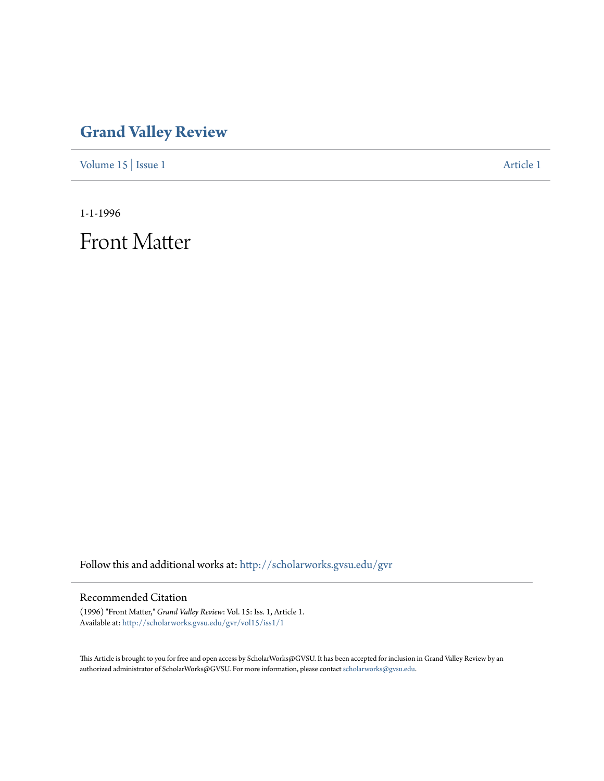[Volume 15](http://scholarworks.gvsu.edu/gvr/vol15?utm_source=scholarworks.gvsu.edu%2Fgvr%2Fvol15%2Fiss1%2F1&utm_medium=PDF&utm_campaign=PDFCoverPages) | [Issue 1](http://scholarworks.gvsu.edu/gvr/vol15/iss1?utm_source=scholarworks.gvsu.edu%2Fgvr%2Fvol15%2Fiss1%2F1&utm_medium=PDF&utm_campaign=PDFCoverPages) [Article 1](http://scholarworks.gvsu.edu/gvr/vol15/iss1/1?utm_source=scholarworks.gvsu.edu%2Fgvr%2Fvol15%2Fiss1%2F1&utm_medium=PDF&utm_campaign=PDFCoverPages)

1-1-1996

Front Matter

Follow this and additional works at: [http://scholarworks.gvsu.edu/gvr](http://scholarworks.gvsu.edu/gvr?utm_source=scholarworks.gvsu.edu%2Fgvr%2Fvol15%2Fiss1%2F1&utm_medium=PDF&utm_campaign=PDFCoverPages)

#### Recommended Citation

(1996) "Front Matter," *Grand Valley Review*: Vol. 15: Iss. 1, Article 1. Available at: [http://scholarworks.gvsu.edu/gvr/vol15/iss1/1](http://scholarworks.gvsu.edu/gvr/vol15/iss1/1?utm_source=scholarworks.gvsu.edu%2Fgvr%2Fvol15%2Fiss1%2F1&utm_medium=PDF&utm_campaign=PDFCoverPages)

This Article is brought to you for free and open access by ScholarWorks@GVSU. It has been accepted for inclusion in Grand Valley Review by an authorized administrator of ScholarWorks@GVSU. For more information, please contact [scholarworks@gvsu.edu.](mailto:scholarworks@gvsu.edu)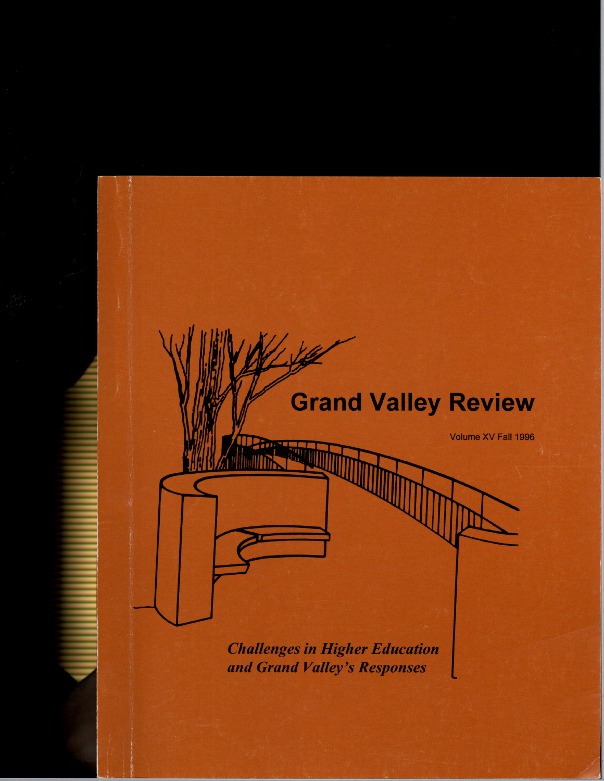Volume XV Fall 1996

**Challenges in Higher Education** and Grand Valley's Responses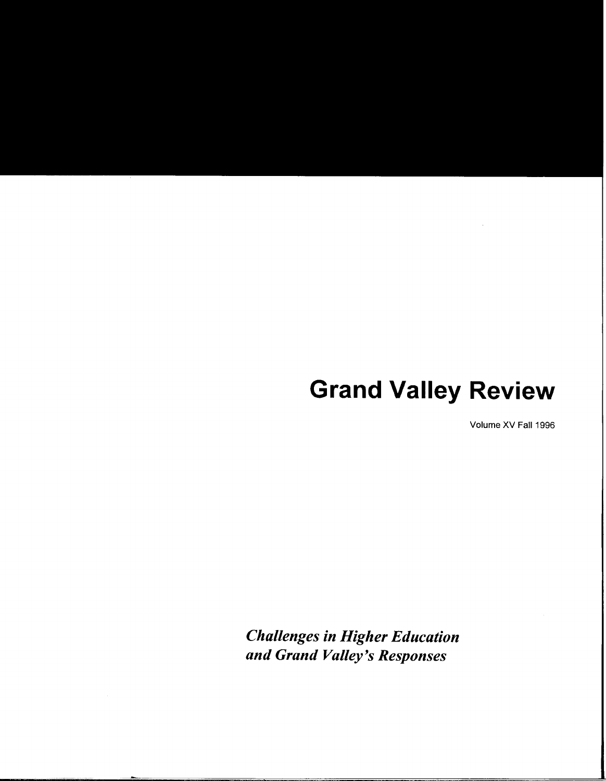Volume XV Fall 1996

**Challenges in Higher Education** and Grand Valley's Responses